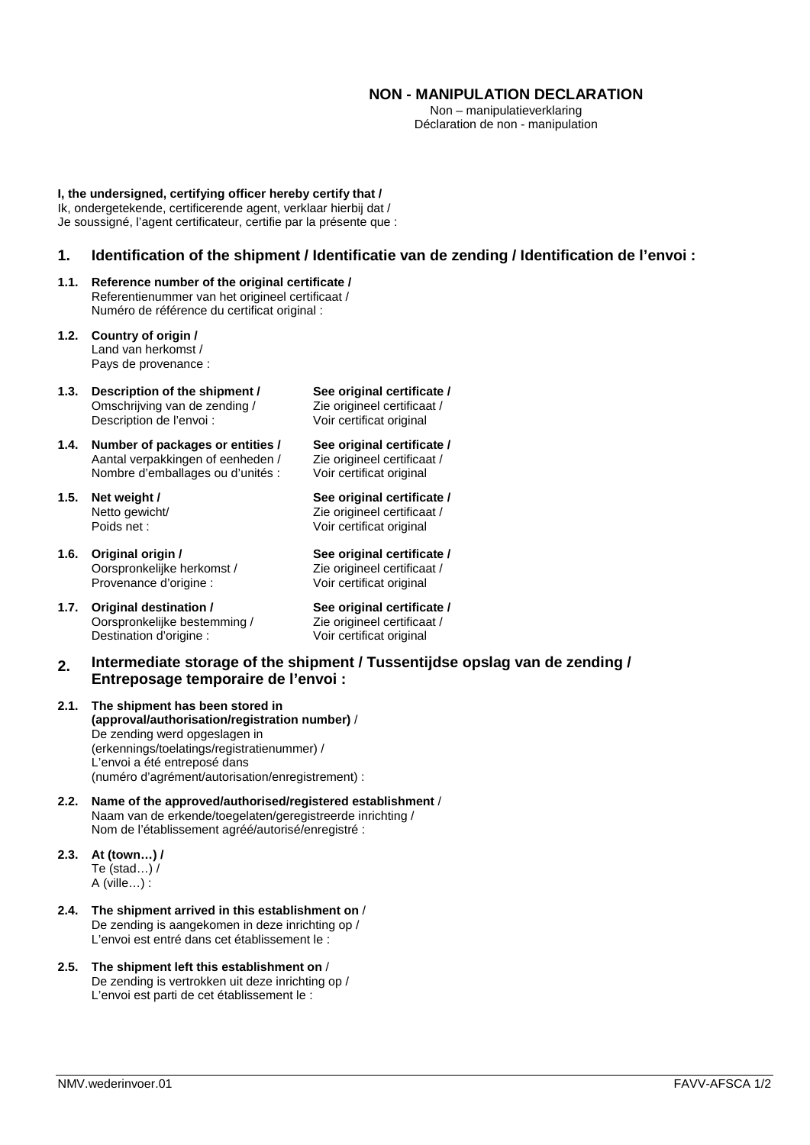# **NON - MANIPULATION DECLARATION**

Non – manipulatieverklaring Déclaration de non - manipulation

**I, the undersigned, certifying officer hereby certify that /** Ik, ondergetekende, certificerende agent, verklaar hierbij dat / Je soussigné, l'agent certificateur, certifie par la présente que :

## **1. Identification of the shipment / Identificatie van de zending / Identification de l'envoi :**

- **1.1. Reference number of the original certificate /**  Referentienummer van het origineel certificaat / Numéro de référence du certificat original :
- **1.2. Country of origin /**  Land van herkomst / Pays de provenance :
- **1.3. Description of the shipment /**  Omschrijving van de zending / Description de l'envoi :
- **1.4. Number of packages or entities /**  Aantal verpakkingen of eenheden / Nombre d'emballages ou d'unités :
- **1.5. Net weight /**  Netto gewicht/ Poids net :
- **1.6. Original origin /**  Oorspronkelijke herkomst / Provenance d'origine :
- **1.7. Original destination /**  Oorspronkelijke bestemming / Destination d'origine :

**See original certificate /**  Zie origineel certificaat / Voir certificat original

**See original certificate /**  Zie origineel certificaat / Voir certificat original

**See original certificate /**  Zie origineel certificaat / Voir certificat original

**See original certificate /**  Zie origineel certificaat / Voir certificat original

**See original certificate /**  Zie origineel certificaat / Voir certificat original

#### **2. Intermediate storage of the shipment / Tussentijdse opslag van de zending / Entreposage temporaire de l'envoi :**

- **2.1. The shipment has been stored in (approval/authorisation/registration number)** / De zending werd opgeslagen in (erkennings/toelatings/registratienummer) / L'envoi a été entreposé dans (numéro d'agrément/autorisation/enregistrement) :
- **2.2. Name of the approved/authorised/registered establishment** / Naam van de erkende/toegelaten/geregistreerde inrichting / Nom de l'établissement agréé/autorisé/enregistré :
- **2.3. At (town…) /**  Te (stad…) / A (ville…) :
- **2.4. The shipment arrived in this establishment on** / De zending is aangekomen in deze inrichting op / L'envoi est entré dans cet établissement le :
- **2.5. The shipment left this establishment on** / De zending is vertrokken uit deze inrichting op / L'envoi est parti de cet établissement le :